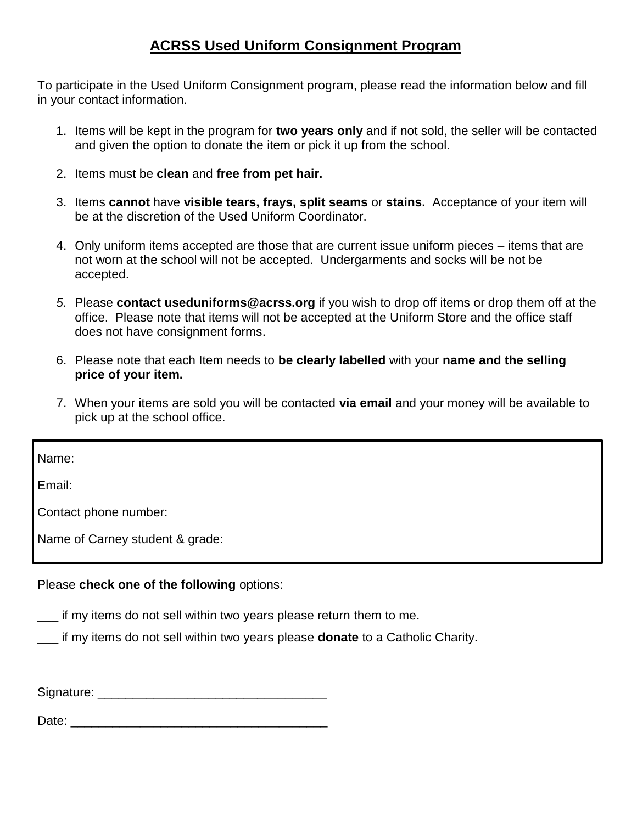## **ACRSS Used Uniform Consignment Program**

To participate in the Used Uniform Consignment program, please read the information below and fill in your contact information.

- 1. Items will be kept in the program for **two years only** and if not sold, the seller will be contacted and given the option to donate the item or pick it up from the school.
- 2. Items must be **clean** and **free from pet hair.**
- 3. Items **cannot** have **visible tears, frays, split seams** or **stains.** Acceptance of your item will be at the discretion of the Used Uniform Coordinator.
- 4. Only uniform items accepted are those that are current issue uniform pieces items that are not worn at the school will not be accepted. Undergarments and socks will be not be accepted.
- *5.* Please **contact useduniforms@acrss.org** if you wish to drop off items or drop them off at the office. Please note that items will not be accepted at the Uniform Store and the office staff does not have consignment forms.
- 6. Please note that each Item needs to **be clearly labelled** with your **name and the selling price of your item.**
- 7. When your items are sold you will be contacted **via email** and your money will be available to pick up at the school office.

Name:

Email:

Contact phone number:

Name of Carney student & grade:

## Please **check one of the following** options:

- \_\_\_ if my items do not sell within two years please return them to me.
- \_\_\_ if my items do not sell within two years please **donate** to a Catholic Charity.

Signature: \_\_\_\_\_\_\_\_\_\_\_\_\_\_\_\_\_\_\_\_\_\_\_\_\_\_\_\_\_\_\_\_\_

Date: